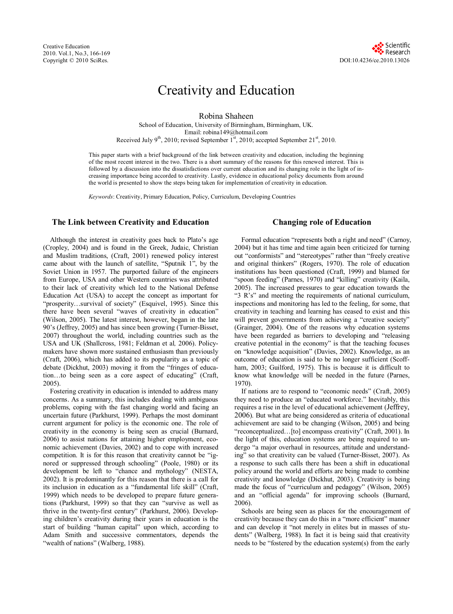# Creativity and Education

Robina Shaheen

School of Education, University of Birmingham, Birmingham, UK. Email: robina149@hotmail.com Received July  $9<sup>th</sup>$ , 2010; revised September  $1<sup>st</sup>$ , 2010; accepted September  $21<sup>st</sup>$ , 2010.

This paper starts with a brief background of the link between creativity and education, including the beginning of the most recent interest in the two. There is a short summary of the reasons for this renewed interest. This is followed by a discussion into the dissatisfactions over current education and its changing role in the light of increasing importance being accorded to creativity. Lastly, evidence in educational policy documents from around the world is presented to show the steps being taken for implementation of creativity in education.

*Keywords*: Creativity, Primary Education, Policy, Curriculum, Developing Countries

## **The Link between Creativity and Education**

Although the interest in creativity goes back to Plato's age (Cropley, 2004) and is found in the Greek, Judaic, Christian and Muslim traditions, (Craft, 2001) renewed policy interest came about with the launch of satellite, "Sputnik 1", by the Soviet Union in 1957. The purported failure of the engineers from Europe, USA and other Western countries was attributed to their lack of creativity which led to the National Defense Education Act (USA) to accept the concept as important for "prosperity…survival of society" (Esquivel, 1995). Since this there have been several "waves of creativity in education" (Wilson, 2005). The latest interest, however, began in the late 90's (Jeffrey, 2005) and has since been growing (Turner-Bisset, 2007) throughout the world, including countries such as the USA and UK (Shallcross, 1981; Feldman et al*,* 2006). Policymakers have shown more sustained enthusiasm than previously (Craft, 2006), which has added to its popularity as a topic of debate (Dickhut, 2003) moving it from the "fringes of education…to being seen as a core aspect of educating" (Craft, 2005).

Fostering creativity in education is intended to address many concerns. As a summary, this includes dealing with ambiguous problems, coping with the fast changing world and facing an uncertain future (Parkhurst, 1999). Perhaps the most dominant current argument for policy is the economic one. The role of creativity in the economy is being seen as crucial (Burnard, 2006) to assist nations for attaining higher employment, economic achievement (Davies, 2002) and to cope with increased competition. It is for this reason that creativity cannot be "ignored or suppressed through schooling" (Poole, 1980) or its development be left to "chance and mythology" (NESTA, 2002). It is predominantly for this reason that there is a call for its inclusion in education as a "fundamental life skill" (Craft, 1999) which needs to be developed to prepare future generations (Parkhurst, 1999) so that they can "survive as well as thrive in the twenty-first century" (Parkhurst, 2006). Developing children's creativity during their years in education is the start of building "human capital" upon which, according to Adam Smith and successive commentators, depends the "wealth of nations" (Walberg, 1988).

## **Changing role of Education**

Formal education "represents both a right and need" (Carnoy, 2004) but it has time and time again been criticized for turning out "conformists" and "stereotypes" rather than "freely creative and original thinkers" (Rogers, 1970). The role of education institutions has been questioned (Craft, 1999) and blamed for "spoon feeding" (Parnes, 1970) and "killing" creativity (Kaila, 2005). The increased pressures to gear education towards the "3 R's" and meeting the requirements of national curriculum, inspections and monitoring has led to the feeling, for some, that creativity in teaching and learning has ceased to exist and this will prevent governments from achieving a "creative society" (Grainger, 2004). One of the reasons why education systems have been regarded as barriers to developing and "releasing creative potential in the economy" is that the teaching focuses on "knowledge acquisition" (Davies, 2002). Knowledge, as an outcome of education is said to be no longer sufficient (Scoffham, 2003; Guilford, 1975). This is because it is difficult to know what knowledge will be needed in the future (Parnes, 1970).

If nations are to respond to "economic needs" (Craft, 2005) they need to produce an "educated workforce." Inevitably, this requires a rise in the level of educational achievement (Jeffrey, 2006). But what are being considered as criteria of educational achievement are said to be changing (Wilson, 2005) and being "reconceptualized…[to] encompass creativity" (Craft, 2001). In the light of this, education systems are being required to undergo "a major overhaul in resources, attitude and understanding" so that creativity can be valued (Turner-Bisset, 2007). As a response to such calls there has been a shift in educational policy around the world and efforts are being made to combine creativity and knowledge (Dickhut, 2003). Creativity is being made the focus of "curriculum and pedagogy" (Wilson, 2005) and an "official agenda" for improving schools (Burnard, 2006).

Schools are being seen as places for the encouragement of creativity because they can do this in a "more efficient" manner and can develop it "not merely in elites but in masses of students" (Walberg, 1988). In fact it is being said that creativity needs to be "fostered by the education system(s) from the early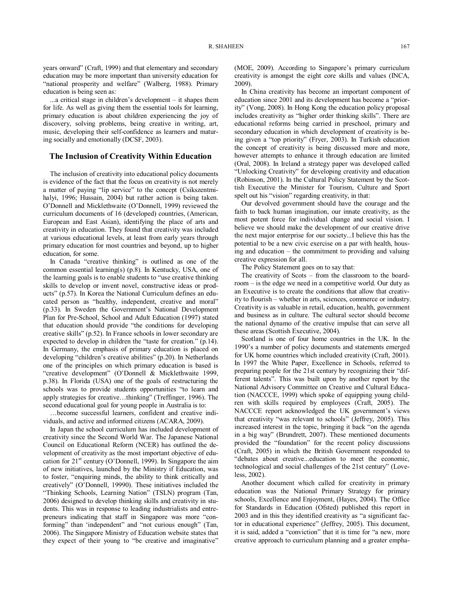years onward" (Craft, 1999) and that elementary and secondary education may be more important than university education for "national prosperity and welfare" (Walberg, 1988). Primary education is being seen as:

...a critical stage in children's development – it shapes them for life. As well as giving them the essential tools for learning, primary education is about children experiencing the joy of discovery, solving problems, being creative in writing, art, music, developing their self-confidence as learners and maturing socially and emotionally (DCSF, 2003).

## **The Inclusion of Creativity Within Education**

The inclusion of creativity into educational policy documents is evidence of the fact that the focus on creativity is not merely a matter of paying "lip service" to the concept (Csikszentmihalyi, 1996; Hussain, 2004) but rather action is being taken. O'Donnell and Micklethwaite (O'Donnell, 1999) reviewed the curriculum documents of 16 (developed) countries, (American, European and East Asian), identifying the place of arts and creativity in education. They found that creativity was included at various educational levels, at least from early years through primary education for most countries and beyond, up to higher education, for some.

In Canada "creative thinking" is outlined as one of the common essential learning(s) (p.8). In Kentucky, USA, one of the learning goals is to enable students to "use creative thinking skills to develop or invent novel, constructive ideas or products" (p.57). In Korea the National Curriculum defines an educated person as "healthy, independent, creative and moral" (p.33). In Sweden the Government's National Development Plan for Pre-School, School and Adult Education (1997) stated that education should provide "the conditions for developing creative skills" (p.52). In France schools in lower secondary are expected to develop in children the "taste for creation." (p.14). In Germany, the emphasis of primary education is placed on developing "children's creative abilities" (p.20). In Netherlands one of the principles on which primary education is based is "creative development" (O'Donnell & Micklethwaite 1999, p.38). In Florida (USA) one of the goals of restructuring the schools was to provide students opportunities "to learn and apply strategies for creative…thinking" (Treffinger, 1996). The second educational goal for young people in Australia is to:

…become successful learners, confident and creative individuals, and active and informed citizens (ACARA, 2009).

In Japan the school curriculum has included development of creativity since the Second World War. The Japanese National Council on Educational Reform (NCER) has outlined the development of creativity as the most important objective of education for 21st century (O'Donnell, 1999). In Singapore the aim of new initiatives, launched by the Ministry if Education, was to foster, "enquiring minds, the ability to think critically and creatively" (O'Donnell, 19990). These initiatives included the "Thinking Schools, Learning Nation" (TSLN) program (Tan, 2006) designed to develop thinking skills and creativity in students. This was in response to leading industrialists and entrepreneurs indicating that staff in Singapore was more "conforming" than 'independent" and "not curious enough" (Tan, 2006). The Singapore Ministry of Education website states that they expect of their young to "be creative and imaginative"

(MOE, 2009). According to Singapore's primary curriculum creativity is amongst the eight core skills and values (INCA, 2009).

In China creativity has become an important component of education since 2001 and its development has become a "priority" (Vong, 2008). In Hong Kong the education policy proposal includes creativity as "higher order thinking skills". There are educational reforms being carried in preschool, primary and secondary education in which development of creativity is being given a "top priority" (Fryer, 2003). In Turkish education the concept of creativity is being discussed more and more, however attempts to enhance it through education are limited (Oral, 2008). In Ireland a strategy paper was developed called "Unlocking Creativity" for developing creativity and education (Robinson, 2001). In the Cultural Policy Statement by the Scottish Executive the Minister for Tourism, Culture and Sport spelt out his "vision" regarding creativity, in that:

Our devolved government should have the courage and the faith to back human imagination, our innate creativity, as the most potent force for individual change and social vision. I believe we should make the development of our creative drive the next major enterprise for our society...I believe this has the potential to be a new civic exercise on a par with health, housing and education – the commitment to providing and valuing creative expression for all.

The Policy Statement goes on to say that:

The creativity of Scots – from the classroom to the boardroom – is the edge we need in a competitive world. Our duty as an Executive is to create the conditions that allow that creativity to flourish – whether in arts, sciences, commerce or industry. Creativity is as valuable in retail, education, health, government and business as in culture. The cultural sector should become the national dynamo of the creative impulse that can serve all these areas (Scottish Executive, 2004).

Scotland is one of four home countries in the UK. In the 1990's a number of policy documents and statements emerged for UK home countries which included creativity (Craft, 2001). In 1997 the White Paper, Excellence in Schools, referred to preparing people for the 21st century by recognizing their "different talents". This was built upon by another report by the National Advisory Committee on Creative and Cultural Education (NACCCE, 1999) which spoke of equipping young children with skills required by employees (Craft, 2005). The NACCCE report acknowledged the UK government's views that creativity "was relevant to schools" (Jeffrey, 2005). This increased interest in the topic, bringing it back "on the agenda in a big way" (Brundrett, 2007). These mentioned documents provided the "foundation" for the recent policy discussions (Craft, 2005) in which the British Government responded to "debates about creative...education to meet the economic, technological and social challenges of the 21st century" (Loveless, 2002).

Another document which called for creativity in primary education was the National Primary Strategy for primary schools, Excellence and Enjoyment, (Hayes, 2004). The Office for Standards in Education (Ofsted) published this report in 2003 and in this they identified creativity as "a significant factor in educational experience" (Jeffrey, 2005). This document, it is said, added a "conviction" that it is time for "a new, more creative approach to curriculum planning and a greater empha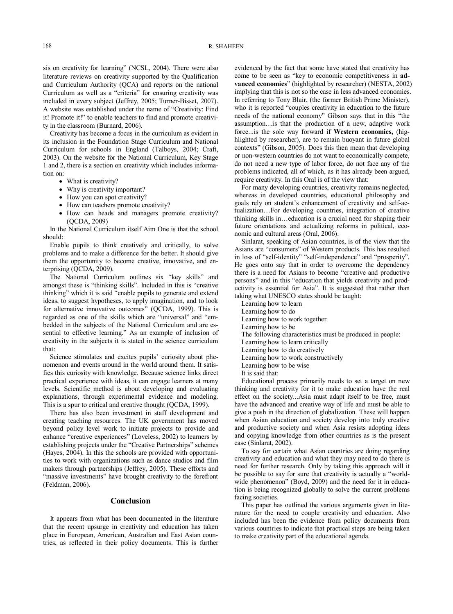sis on creativity for learning" (NCSL, 2004). There were also literature reviews on creativity supported by the Qualification and Curriculum Authority (QCA) and reports on the national Curriculum as well as a "criteria" for ensuring creativity was included in every subject (Jeffrey, 2005; Turner-Bisset, 2007). A website was established under the name of "Creativity: Find it! Promote it!" to enable teachers to find and promote creativity in the classroom (Burnard, 2006).

Creativity has become a focus in the curriculum as evident in its inclusion in the Foundation Stage Curriculum and National Curriculum for schools in England (Talboys, 2004; Craft, 2003). On the website for the National Curriculum, Key Stage 1 and 2, there is a section on creativity which includes information on:

- What is creativity?
- Why is creativity important?
- How you can spot creativity?
- How can teachers promote creativity?
- How can heads and managers promote creativity? (QCDA, 2009)

In the National Curriculum itself Aim One is that the school should:

Enable pupils to think creatively and critically, to solve problems and to make a difference for the better. It should give them the opportunity to become creative, innovative, and enterprising (QCDA, 2009).

The National Curriculum outlines six "key skills" and amongst these is "thinking skills". Included in this is "creative thinking" which it is said "enable pupils to generate and extend ideas, to suggest hypotheses, to apply imagination, and to look for alternative innovative outcomes" (QCDA, 1999). This is regarded as one of the skills which are "universal" and "embedded in the subjects of the National Curriculum and are essential to effective learning." As an example of inclusion of creativity in the subjects it is stated in the science curriculum that:

Science stimulates and excites pupils' curiosity about phenomenon and events around in the world around them. It satisfies this curiosity with knowledge. Because science links direct practical experience with ideas, it can engage learners at many levels. Scientific method is about developing and evaluating explanations, through experimental evidence and modeling. This is a spur to critical and creative thought (QCDA, 1999).

There has also been investment in staff development and creating teaching resources. The UK government has moved beyond policy level work to initiate projects to provide and enhance "creative experiences" (Loveless, 2002) to learners by establishing projects under the "Creative Partnerships" schemes (Hayes, 2004). In this the schools are provided with opportunities to work with organizations such as dance studios and film makers through partnerships (Jeffrey, 2005). These efforts and "massive investments" have brought creativity to the forefront (Feldman, 2006).

#### **Conclusion**

It appears from what has been documented in the literature that the recent upsurge in creativity and education has taken place in European, American, Australian and East Asian countries, as reflected in their policy documents. This is further evidenced by the fact that some have stated that creativity has come to be seen as "key to economic competitiveness in **advanced economies**" (highlighted by researcher) (NESTA, 2002) implying that this is not so the case in less advanced economies. In referring to Tony Blair, (the former British Prime Minister), who it is reported "couples creativity in education to the future needs of the national economy" Gibson says that in this "the assumption…is that the production of a new, adaptive work force...is the sole way forward if **Western economies,** (highlighted by researcher), are to remain buoyant in future global contexts" (Gibson, 2005). Does this then mean that developing or non-western countries do not want to economically compete, do not need a new type of labor force, do not face any of the problems indicated, all of which, as it has already been argued, require creativity. In this Oral is of the view that:

For many developing countries, creativity remains neglected, whereas in developed countries, educational philosophy and goals rely on student's enhancement of creativity and self-actualization…For developing countries, integration of creative thinking skills in…education is a crucial need for shaping their future orientations and actualizing reforms in political, economic and cultural areas (Oral, 2006).

Sinlarat, speaking of Asian countries, is of the view that the Asians are "consumers" of Western products. This has resulted in loss of "self-identity" "self-independence" and "prosperity". He goes onto say that in order to overcome the dependency there is a need for Asians to become "creative and productive persons" and in this "education that yields creativity and productivity is essential for Asia". It is suggested that rather than taking what UNESCO states should be taught:

Learning how to learn Learning how to do Learning how to work together Learning how to be The following characteristics must be produced in people: Learning how to learn critically Learning how to do creatively Learning how to work constructively Learning how to be wise It is said that:

Educational process primarily needs to set a target on new thinking and creativity for it to make education have the real effect on the society...Asia must adapt itself to be free, must have the advanced and creative way of life and must be able to give a push in the direction of globalization. These will happen when Asian education and society develop into truly creative and productive society and when Asia resists adopting ideas and copying knowledge from other countries as is the present case (Sinlarat, 2002).

To say for certain what Asian countries are doing regarding creativity and education and what they may need to do there is need for further research. Only by taking this approach will it be possible to say for sure that creativity is actually a "worldwide phenomenon" (Boyd, 2009) and the need for it in education is being recognized globally to solve the current problems facing societies.

This paper has outlined the various arguments given in literature for the need to couple creativity and education. Also included has been the evidence from policy documents from various countries to indicate that practical steps are being taken to make creativity part of the educational agenda.